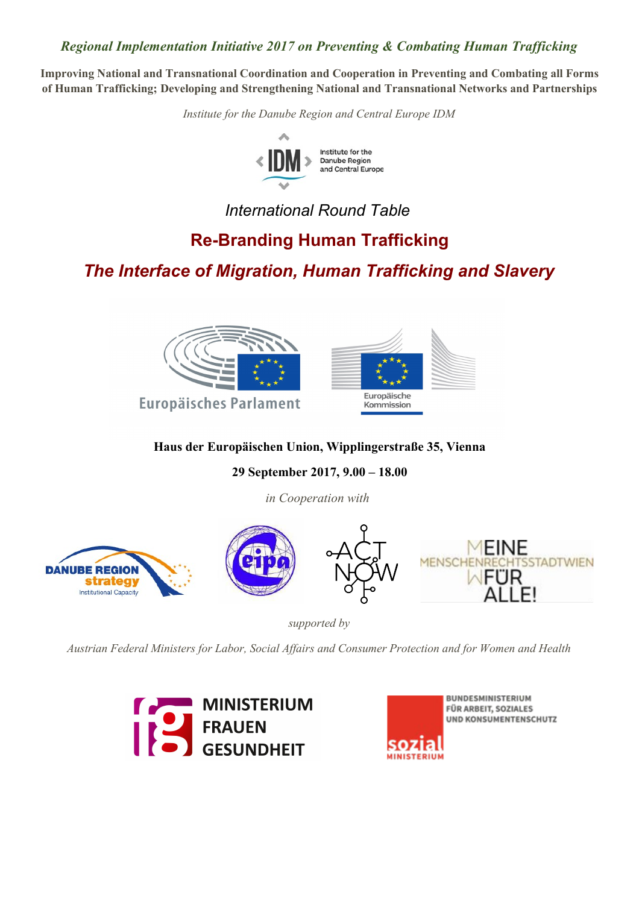# *Regional Implementation Initiative 2017 on Preventing & Combating Human Trafficking*

**Improving National and Transnational Coordination and Cooperation in Preventing and Combating all Forms of Human Trafficking; Developing and Strengthening National and Transnational Networks and Partnerships**

*Institute for the Danube Region and Central Europe IDM*



*International Round Table*

# **Re-Branding Human Trafficking**

*The Interface of Migration, Human Trafficking and Slavery*



# **Haus der Europäischen Union, Wipplingerstraße 35, Vienna**

**29 September 2017, 9.00 – 18.00**

*in Cooperation with* 



*supported by*

*Austrian Federal Ministers for Labor, Social Affairs and Consumer Protection and for Women and Health*





BUNDESMINISTERIUM **FÜR ARBEIT, SOZIALES** UND KONSUMENTENSCHUTZ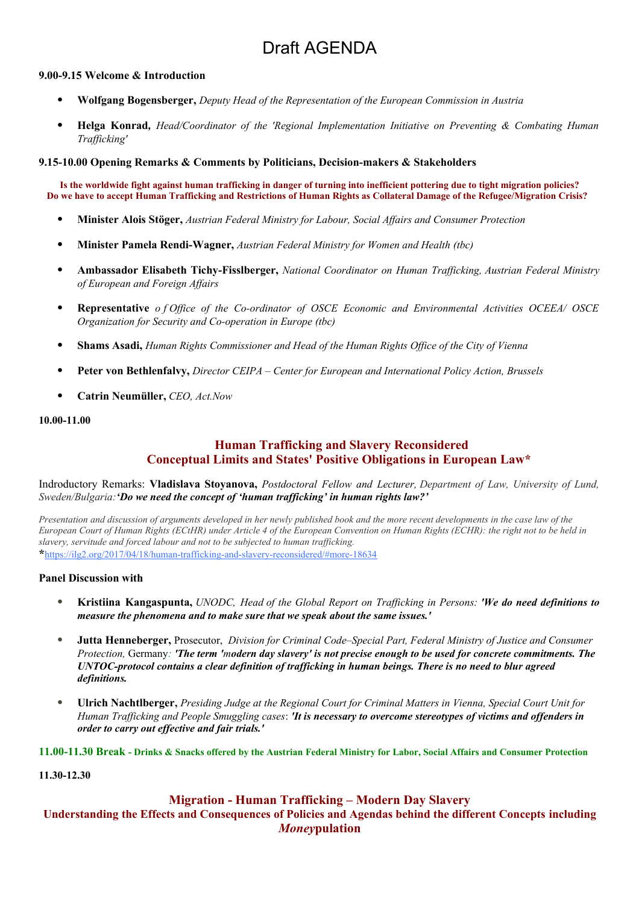# Draft AGENDA

#### **9.00-9.15 Welcome & Introduction**

- **Wolfgang Bogensberger,** *Deputy Head of the Representation of the European Commission in Austria*
- **Helga Konrad***, Head/Coordinator of the 'Regional Implementation Initiative on Preventing & Combating Human Trafficking'*

#### **9.15-10.00 Opening Remarks & Comments by Politicians, Decision-makers & Stakeholders**

**Is the worldwide fight against human trafficking in danger of turning into inefficient pottering due to tight migration policies? Do we have to accept Human Trafficking and Restrictions of Human Rights as Collateral Damage of the Refugee/Migration Crisis?** 

- **Minister Alois Stöger,** *Austrian Federal Ministry for Labour, Social Affairs and Consumer Protection*
- **Minister Pamela Rendi-Wagner,** *Austrian Federal Ministry for Women and Health (tbc)*
- **Ambassador Elisabeth Tichy-Fisslberger,** *National Coordinator on Human Trafficking, Austrian Federal Ministry of European and Foreign Affairs*
- **Representative** *o f Office of the Co-ordinator of OSCE Economic and Environmental Activities OCEEA/ OSCE Organization for Security and Co-operation in Europe (tbc)*
- **Shams Asadi,** *Human Rights Commissioner and Head of the Human Rights Office of the City of Vienna*
- **Peter von Bethlenfalvy,** *Director CEIPA Center for European and International Policy Action, Brussels*
- **Catrin Neumüller,** *CEO, Act.Now*

#### **10.00-11.00**

# **Human Trafficking and Slavery Reconsidered Conceptual Limits and States' Positive Obligations in European Law\***

Indroductory Remarks: **Vladislava Stoyanova,** *Postdoctoral Fellow and Lecturer, Department of Law, University of Lund, Sweden/Bulgaria:'Do we need the concept of 'human trafficking' in human rights law?'*

*Presentation and discussion of arguments developed in her newly published book and the more recent developments in the case law of the European Court of Human Rights (ECtHR) under Article 4 of the European Convention on Human Rights (ECHR): the right not to be held in slavery, servitude and forced labour and not to be subjected to human trafficking.*  **\***https://ilg2.org/2017/04/18/human-trafficking-and-slavery-reconsidered/#more-18634

#### **Panel Discussion with**

- **Kristiina Kangaspunta,** *UNODC, Head of the Global Report on Trafficking in Persons: 'We do need definitions to measure the phenomena and to make sure that we speak about the same issues.'*
- **Jutta Henneberger,** Prosecutor, *Division for Criminal Code–Special Part, Federal Ministry of Justice and Consumer Protection,* Germany*: 'The term 'modern day slavery' is not precise enough to be used for concrete commitments. The UNTOC-protocol contains a clear definition of trafficking in human beings. There is no need to blur agreed definitions.*
- **Ulrich Nachtlberger,** *Presiding Judge at the Regional Court for Criminal Matters in Vienna, Special Court Unit for Human Trafficking and People Smuggling cases*: *'It is necessary to overcome stereotypes of victims and offenders in order to carry out effective and fair trials.'*

**11.00-11.30 Break - Drinks & Snacks offered by the Austrian Federal Ministry for Labor, Social Affairs and Consumer Protection** 

**11.30-12.30** 

#### **Migration - Human Trafficking – Modern Day Slavery**

# **Understanding the Effects and Consequences of Policies and Agendas behind the different Concepts including** *Money***pulation**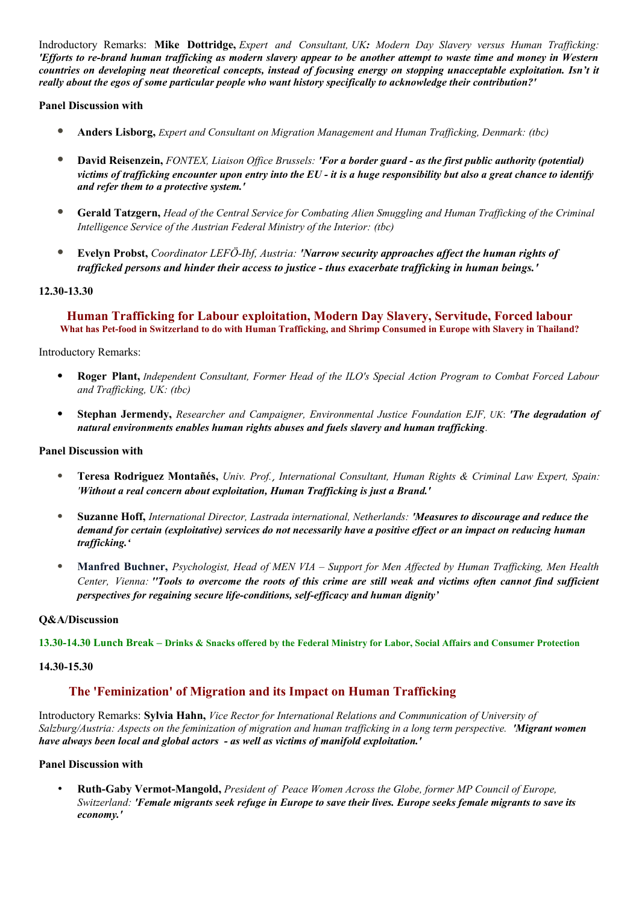Indroductory Remarks: **Mike Dottridge,** *Expert and Consultant, UK: Modern Day Slavery versus Human Trafficking: 'Efforts to re-brand human trafficking as modern slavery appear to be another attempt to waste time and money in Western countries on developing neat theoretical concepts, instead of focusing energy on stopping unacceptable exploitation. Isn't it really about the egos of some particular people who want history specifically to acknowledge their contribution?'*

## **Panel Discussion with**

- **Anders Lisborg,** *Expert and Consultant on Migration Management and Human Trafficking, Denmark: (tbc)*
- **David Reisenzein,** *FONTEX, Liaison Office Brussels: 'For a border guard as the first public authority (potential) victims of trafficking encounter upon entry into the EU - it is a huge responsibility but also a great chance to identify and refer them to a protective system.'*
- **Gerald Tatzgern,** *Head of the Central Service for Combating Alien Smuggling and Human Trafficking of the Criminal Intelligence Service of the Austrian Federal Ministry of the Interior: (tbc)*
- **Evelyn Probst,** *Coordinator LEFÖ-Ibf, Austria: 'Narrow security approaches affect the human rights of trafficked persons and hinder their access to justice - thus exacerbate trafficking in human beings.'*

### **12.30-13.30**

## **Human Trafficking for Labour exploitation, Modern Day Slavery, Servitude, Forced labour What has Pet-food in Switzerland to do with Human Trafficking, and Shrimp Consumed in Europe with Slavery in Thailand?**

#### Introductory Remarks:

- **Roger Plant,** *Independent Consultant, Former Head of the ILO's Special Action Program to Combat Forced Labour and Trafficking, UK: (tbc)*
- **Stephan Jermendy,** *Researcher and Campaigner, Environmental Justice Foundation EJF, UK*: *'The degradation of natural environments enables human rights abuses and fuels slavery and human trafficking.*

#### **Panel Discussion with**

- **Teresa Rodriguez Montañés,** *Univ. Prof.*, *International Consultant, Human Rights & Criminal Law Expert, Spain: 'Without a real concern about exploitation, Human Trafficking is just a Brand.'*
- **Suzanne Hoff,** *International Director, Lastrada international, Netherlands: 'Measures to discourage and reduce the demand for certain (exploitative) services do not necessarily have a positive effect or an impact on reducing human trafficking.'*
- **Manfred Buchner,** *Psychologist, Head of MEN VIA Support for Men Affected by Human Trafficking, Men Health Center, Vienna: ''Tools to overcome the roots of this crime are still weak and victims often cannot find sufficient perspectives for regaining secure life-conditions, self-efficacy and human dignity'*

#### **Q&A/Discussion**

**13.30-14.30 Lunch Break – Drinks & Snacks offered by the Federal Ministry for Labor, Social Affairs and Consumer Protection** 

#### **14.30-15.30**

## **The 'Feminization' of Migration and its Impact on Human Trafficking**

Introductory Remarks: **Sylvia Hahn,** *Vice Rector for International Relations and Communication of University of Salzburg/Austria: Aspects on the feminization of migration and human trafficking in a long term perspective. 'Migrant women have always been local and global actors - as well as victims of manifold exploitation.'*

#### **Panel Discussion with**

• **Ruth-Gaby Vermot-Mangold,** *President of Peace Women Across the Globe, former MP Council of Europe, Switzerland: 'Female migrants seek refuge in Europe to save their lives. Europe seeks female migrants to save its economy.'*